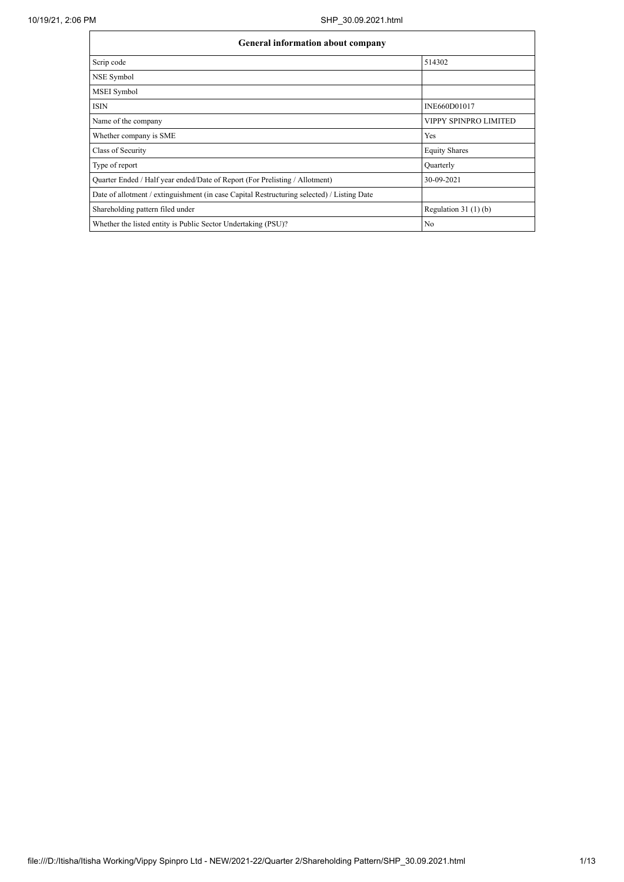| <b>General information about company</b>                                                   |                       |  |  |  |  |  |  |
|--------------------------------------------------------------------------------------------|-----------------------|--|--|--|--|--|--|
| Scrip code                                                                                 | 514302                |  |  |  |  |  |  |
| NSE Symbol                                                                                 |                       |  |  |  |  |  |  |
| MSEI Symbol                                                                                |                       |  |  |  |  |  |  |
| <b>ISIN</b>                                                                                | INE660D01017          |  |  |  |  |  |  |
| Name of the company                                                                        | VIPPY SPINPRO LIMITED |  |  |  |  |  |  |
| Whether company is SME                                                                     | Yes                   |  |  |  |  |  |  |
| Class of Security                                                                          | <b>Equity Shares</b>  |  |  |  |  |  |  |
| Type of report                                                                             | Quarterly             |  |  |  |  |  |  |
| Quarter Ended / Half year ended/Date of Report (For Prelisting / Allotment)                | 30-09-2021            |  |  |  |  |  |  |
| Date of allotment / extinguishment (in case Capital Restructuring selected) / Listing Date |                       |  |  |  |  |  |  |
| Shareholding pattern filed under                                                           | Regulation $31(1)(b)$ |  |  |  |  |  |  |
| Whether the listed entity is Public Sector Undertaking (PSU)?                              | No                    |  |  |  |  |  |  |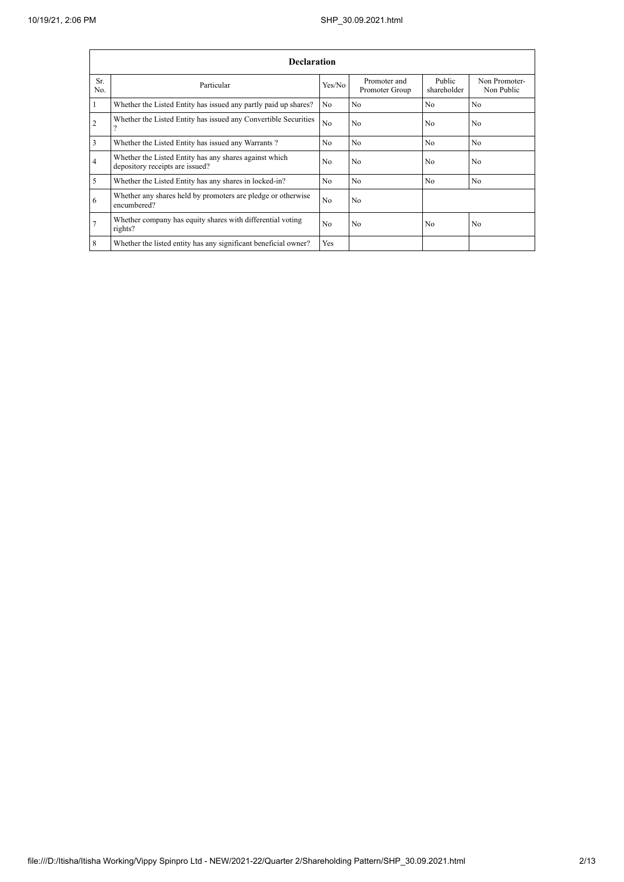|                | <b>Declaration</b>                                                                        |                |                                |                       |                             |  |  |  |  |  |
|----------------|-------------------------------------------------------------------------------------------|----------------|--------------------------------|-----------------------|-----------------------------|--|--|--|--|--|
| Sr.<br>No.     | Particular                                                                                | Yes/No         | Promoter and<br>Promoter Group | Public<br>shareholder | Non Promoter-<br>Non Public |  |  |  |  |  |
|                | Whether the Listed Entity has issued any partly paid up shares?                           | No             | N <sub>0</sub>                 | N <sub>o</sub>        | N <sub>o</sub>              |  |  |  |  |  |
| 2              | Whether the Listed Entity has issued any Convertible Securities                           | N <sub>o</sub> | No                             | N <sub>0</sub>        | N <sub>o</sub>              |  |  |  |  |  |
| 3              | Whether the Listed Entity has issued any Warrants?                                        | N <sub>o</sub> | N <sub>0</sub>                 | No.                   | N <sub>o</sub>              |  |  |  |  |  |
| $\overline{4}$ | Whether the Listed Entity has any shares against which<br>depository receipts are issued? | No             | No                             | N <sub>o</sub>        | N <sub>o</sub>              |  |  |  |  |  |
| 5              | Whether the Listed Entity has any shares in locked-in?                                    | N <sub>o</sub> | No                             | N <sub>o</sub>        | N <sub>o</sub>              |  |  |  |  |  |
| 6              | Whether any shares held by promoters are pledge or otherwise<br>encumbered?               | No             | No                             |                       |                             |  |  |  |  |  |
|                | Whether company has equity shares with differential voting<br>rights?                     | N <sub>o</sub> | No                             | N <sub>o</sub>        | No                          |  |  |  |  |  |
| 8              | Whether the listed entity has any significant beneficial owner?                           | Yes            |                                |                       |                             |  |  |  |  |  |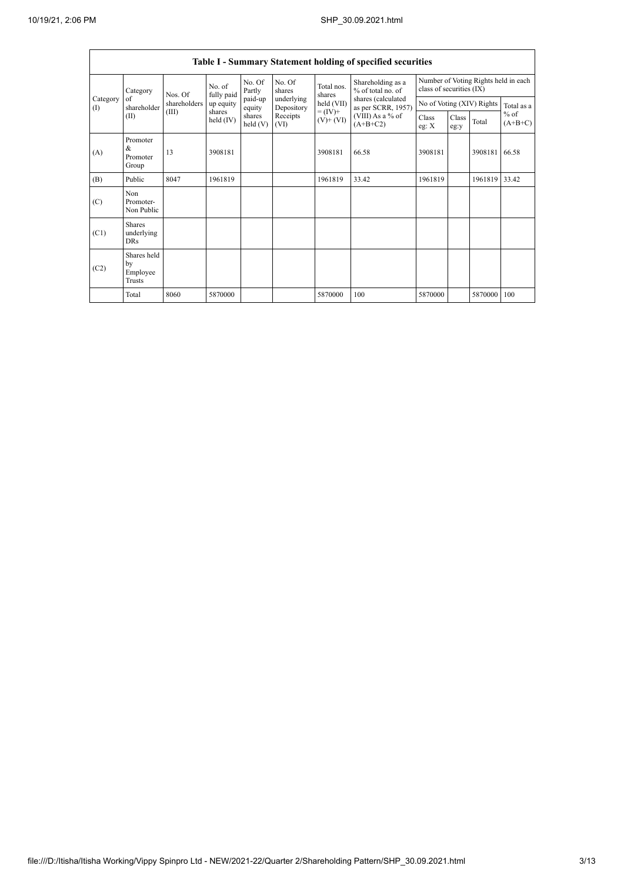$\mathsf{r}$ 

h

|                          | <b>Table I - Summary Statement holding of specified securities</b> |              |                       |                      |                          |                              |                                          |                                                                  |               |                           |                                   |  |
|--------------------------|--------------------------------------------------------------------|--------------|-----------------------|----------------------|--------------------------|------------------------------|------------------------------------------|------------------------------------------------------------------|---------------|---------------------------|-----------------------------------|--|
|                          | Category                                                           | Nos. Of      | No. of<br>fully paid  | No. Of<br>Partly     | No. Of<br>shares         | Total nos.<br>shares         | Shareholding as a<br>% of total no. of   | Number of Voting Rights held in each<br>class of securities (IX) |               |                           |                                   |  |
| Category<br>$($ $\Gamma$ | of<br>shareholder                                                  | shareholders | up equity             | paid-up<br>equity    | underlying<br>Depository | $held$ (VII)                 | shares (calculated<br>as per SCRR, 1957) |                                                                  |               | No of Voting (XIV) Rights | Total as a<br>$%$ of<br>$(A+B+C)$ |  |
|                          | (II)                                                               | (III)        | shares<br>held $(IV)$ | shares<br>held $(V)$ | Receipts<br>(VI)         | $= (IV) +$<br>$(V)$ + $(VI)$ | (VIII) As a % of<br>$(A+B+C2)$           | Class<br>eg: X                                                   | Class<br>eg:y | Total                     |                                   |  |
| (A)                      | Promoter<br>&<br>Promoter<br>Group                                 | 13           | 3908181               |                      |                          | 3908181                      | 66.58                                    | 3908181                                                          |               | 3908181                   | 66.58                             |  |
| (B)                      | Public                                                             | 8047         | 1961819               |                      |                          | 1961819                      | 33.42                                    | 1961819                                                          |               | 1961819                   | 33.42                             |  |
| (C)                      | Non.<br>Promoter-<br>Non Public                                    |              |                       |                      |                          |                              |                                          |                                                                  |               |                           |                                   |  |
| (C1)                     | <b>Shares</b><br>underlying<br><b>DRs</b>                          |              |                       |                      |                          |                              |                                          |                                                                  |               |                           |                                   |  |
| (C2)                     | Shares held<br>by<br>Employee<br>Trusts                            |              |                       |                      |                          |                              |                                          |                                                                  |               |                           |                                   |  |
|                          | Total                                                              | 8060         | 5870000               |                      |                          | 5870000                      | 100                                      | 5870000                                                          |               | 5870000                   | 100                               |  |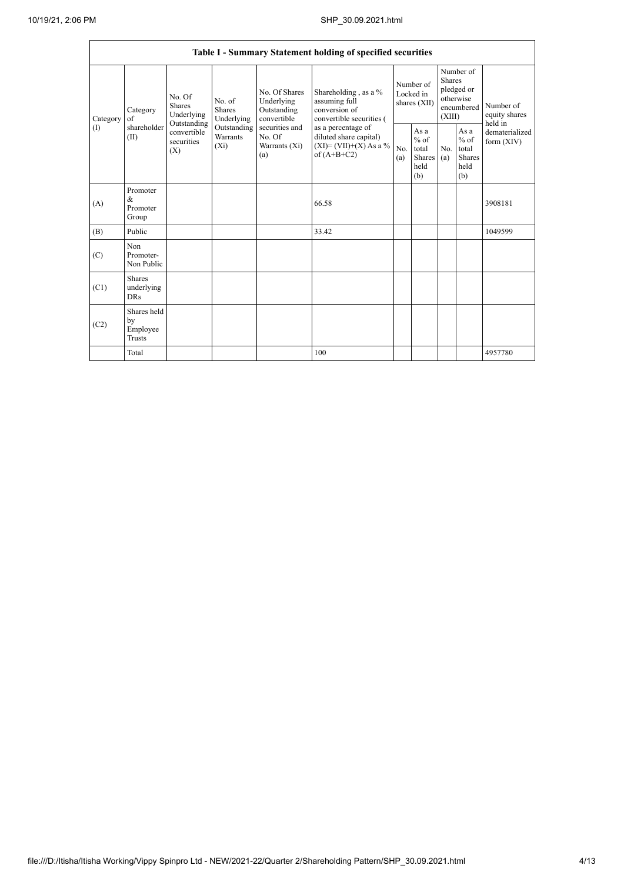| Table I - Summary Statement holding of specified securities |                                                |                                                                                                                                                                         |                                                     |                                                                                          |                                                                                    |                                                  |            |                                                                        |                                |                                       |
|-------------------------------------------------------------|------------------------------------------------|-------------------------------------------------------------------------------------------------------------------------------------------------------------------------|-----------------------------------------------------|------------------------------------------------------------------------------------------|------------------------------------------------------------------------------------|--------------------------------------------------|------------|------------------------------------------------------------------------|--------------------------------|---------------------------------------|
| Category<br>$\left( \Gamma \right)$                         | Category<br>$\sigma$ f<br>shareholder<br>(II)  | No. Of<br>No. of<br><b>Shares</b><br><b>Shares</b><br>Underlying<br>Underlying<br>Outstanding<br>Outstanding<br>convertible<br>Warrants<br>securities<br>$(X_i)$<br>(X) |                                                     | No. Of Shares<br>Underlying<br>Outstanding<br>convertible                                | Shareholding, as a %<br>assuming full<br>conversion of<br>convertible securities ( | Number of<br>Locked in<br>shares (XII)           |            | Number of<br>Shares<br>pledged or<br>otherwise<br>encumbered<br>(XIII) |                                | Number of<br>equity shares<br>held in |
|                                                             |                                                |                                                                                                                                                                         | securities and<br>No. Of<br>Warrants $(X_i)$<br>(a) | as a percentage of<br>diluted share capital)<br>$(XI)=(VII)+(X)$ As a %<br>of $(A+B+C2)$ | No.<br>(a)                                                                         | As a<br>$%$ of<br>total<br>Shares<br>held<br>(b) | No.<br>(a) | As $\mathbf a$<br>$%$ of<br>total<br>Shares<br>held<br>(b)             | dematerialized<br>form $(XIV)$ |                                       |
| (A)                                                         | Promoter<br>&<br>Promoter<br>Group             |                                                                                                                                                                         |                                                     |                                                                                          | 66.58                                                                              |                                                  |            |                                                                        |                                | 3908181                               |
| (B)                                                         | Public                                         |                                                                                                                                                                         |                                                     |                                                                                          | 33.42                                                                              |                                                  |            |                                                                        |                                | 1049599                               |
| (C)                                                         | Non<br>Promoter-<br>Non Public                 |                                                                                                                                                                         |                                                     |                                                                                          |                                                                                    |                                                  |            |                                                                        |                                |                                       |
| (C1)                                                        | <b>Shares</b><br>underlying<br><b>DRs</b>      |                                                                                                                                                                         |                                                     |                                                                                          |                                                                                    |                                                  |            |                                                                        |                                |                                       |
| (C2)                                                        | Shares held<br>by<br>Employee<br><b>Trusts</b> |                                                                                                                                                                         |                                                     |                                                                                          |                                                                                    |                                                  |            |                                                                        |                                |                                       |
|                                                             | Total                                          |                                                                                                                                                                         |                                                     |                                                                                          | 100                                                                                |                                                  |            |                                                                        |                                | 4957780                               |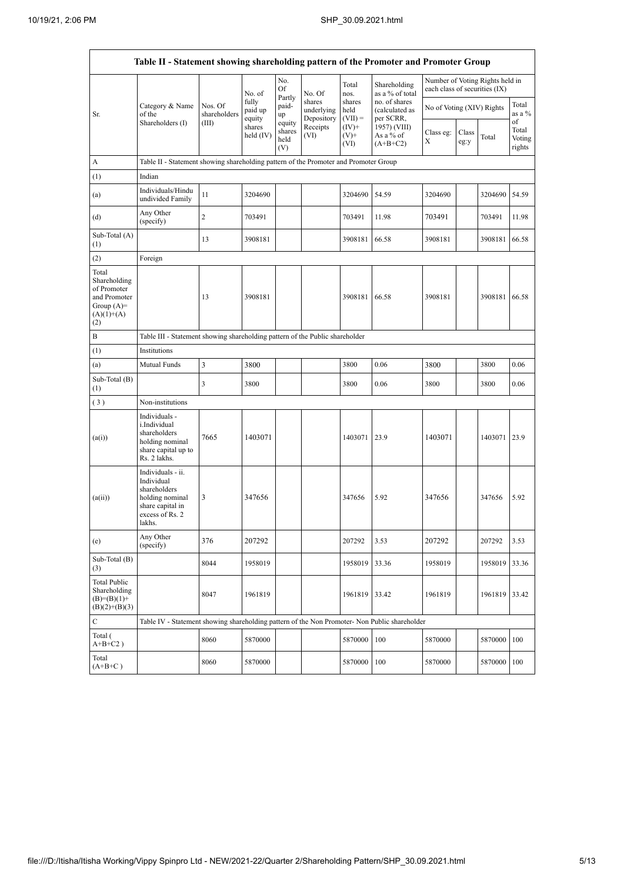|                                                                                             | Table II - Statement showing shareholding pattern of the Promoter and Promoter Group                                |                         |                            |                                 |                                    |                             |                                              |                               |               |                                 |                                 |
|---------------------------------------------------------------------------------------------|---------------------------------------------------------------------------------------------------------------------|-------------------------|----------------------------|---------------------------------|------------------------------------|-----------------------------|----------------------------------------------|-------------------------------|---------------|---------------------------------|---------------------------------|
|                                                                                             |                                                                                                                     |                         | No. of                     | No.<br>Of                       | No. Of                             | Total<br>nos.               | Shareholding<br>as a % of total              | each class of securities (IX) |               | Number of Voting Rights held in |                                 |
| Sr.                                                                                         | Category & Name<br>of the                                                                                           | Nos. Of<br>shareholders | fully<br>paid up<br>equity | Partly<br>paid-<br>up           | shares<br>underlying<br>Depository | shares<br>held<br>$(VII) =$ | no. of shares<br>(calculated as<br>per SCRR, | No of Voting (XIV) Rights     |               |                                 | Total<br>as a %                 |
|                                                                                             | Shareholders (I)                                                                                                    | (III)                   | shares<br>held $(IV)$      | equity<br>shares<br>held<br>(V) | Receipts<br>(VI)                   | $(IV)^+$<br>$(V)$ +<br>(VI) | 1957) (VIII)<br>As a % of<br>$(A+B+C2)$      | Class eg:<br>Х                | Class<br>eg:y | Total                           | of<br>Total<br>Voting<br>rights |
| A                                                                                           | Table II - Statement showing shareholding pattern of the Promoter and Promoter Group                                |                         |                            |                                 |                                    |                             |                                              |                               |               |                                 |                                 |
| (1)                                                                                         | Indian                                                                                                              |                         |                            |                                 |                                    |                             |                                              |                               |               |                                 |                                 |
| (a)                                                                                         | Individuals/Hindu<br>undivided Family                                                                               | 11                      | 3204690                    |                                 |                                    | 3204690                     | 54.59                                        | 3204690                       |               | 3204690                         | 54.59                           |
| (d)                                                                                         | Any Other<br>(specify)                                                                                              | $\overline{c}$          | 703491                     |                                 |                                    | 703491                      | 11.98                                        | 703491                        |               | 703491                          | 11.98                           |
| Sub-Total (A)<br>(1)                                                                        |                                                                                                                     | 13                      | 3908181                    |                                 |                                    | 3908181                     | 66.58                                        | 3908181                       |               | 3908181                         | 66.58                           |
| (2)                                                                                         | Foreign                                                                                                             |                         |                            |                                 |                                    |                             |                                              |                               |               |                                 |                                 |
| Total<br>Shareholding<br>of Promoter<br>and Promoter<br>Group $(A)=$<br>$(A)(1)+(A)$<br>(2) |                                                                                                                     | 13                      | 3908181                    |                                 |                                    | 3908181                     | 66.58                                        | 3908181                       |               | 3908181                         | 66.58                           |
| B                                                                                           | Table III - Statement showing shareholding pattern of the Public shareholder                                        |                         |                            |                                 |                                    |                             |                                              |                               |               |                                 |                                 |
| (1)                                                                                         | Institutions                                                                                                        |                         |                            |                                 |                                    |                             |                                              |                               |               |                                 |                                 |
| (a)                                                                                         | Mutual Funds                                                                                                        | 3                       | 3800                       |                                 |                                    | 3800                        | 0.06                                         | 3800                          |               | 3800                            | 0.06                            |
| Sub-Total (B)<br>(1)                                                                        |                                                                                                                     | 3                       | 3800                       |                                 |                                    | 3800                        | 0.06                                         | 3800                          |               | 3800                            | 0.06                            |
| (3)                                                                                         | Non-institutions                                                                                                    |                         |                            |                                 |                                    |                             |                                              |                               |               |                                 |                                 |
| (a(i))                                                                                      | Individuals -<br>i.Individual<br>shareholders<br>holding nominal<br>share capital up to<br>Rs. 2 lakhs.             | 7665                    | 1403071                    |                                 |                                    | 1403071                     | 23.9                                         | 1403071                       |               | 1403071 23.9                    |                                 |
| (a(ii))                                                                                     | Individuals - ii.<br>Individual<br>shareholders<br>holding nominal<br>share capital in<br>excess of Rs. 2<br>lakhs. | 3                       | 347656                     |                                 |                                    | 347656                      | 5.92                                         | 347656                        |               | 347656                          | 5.92                            |
| (e)                                                                                         | Any Other<br>(specify)                                                                                              | 376                     | 207292                     |                                 |                                    | 207292                      | 3.53                                         | 207292                        |               | 207292                          | 3.53                            |
| Sub-Total (B)<br>(3)                                                                        |                                                                                                                     | 8044                    | 1958019                    |                                 |                                    | 1958019                     | 33.36                                        | 1958019                       |               | 1958019                         | 33.36                           |
| <b>Total Public</b><br>Shareholding<br>$(B)=(B)(1)+$<br>$(B)(2)+(B)(3)$                     |                                                                                                                     | 8047                    | 1961819                    |                                 |                                    | 1961819                     | 33.42                                        | 1961819                       |               | 1961819                         | 33.42                           |
| $\mathbf C$                                                                                 | Table IV - Statement showing shareholding pattern of the Non Promoter- Non Public shareholder                       |                         |                            |                                 |                                    |                             |                                              |                               |               |                                 |                                 |
| Total (<br>$A+B+C2$ )                                                                       |                                                                                                                     | 8060                    | 5870000                    |                                 |                                    | 5870000                     | 100                                          | 5870000                       |               | 5870000                         | 100                             |
| Total<br>$(A+B+C)$                                                                          |                                                                                                                     | 8060                    | 5870000                    |                                 |                                    | 5870000                     | 100                                          | 5870000                       |               | 5870000                         | 100                             |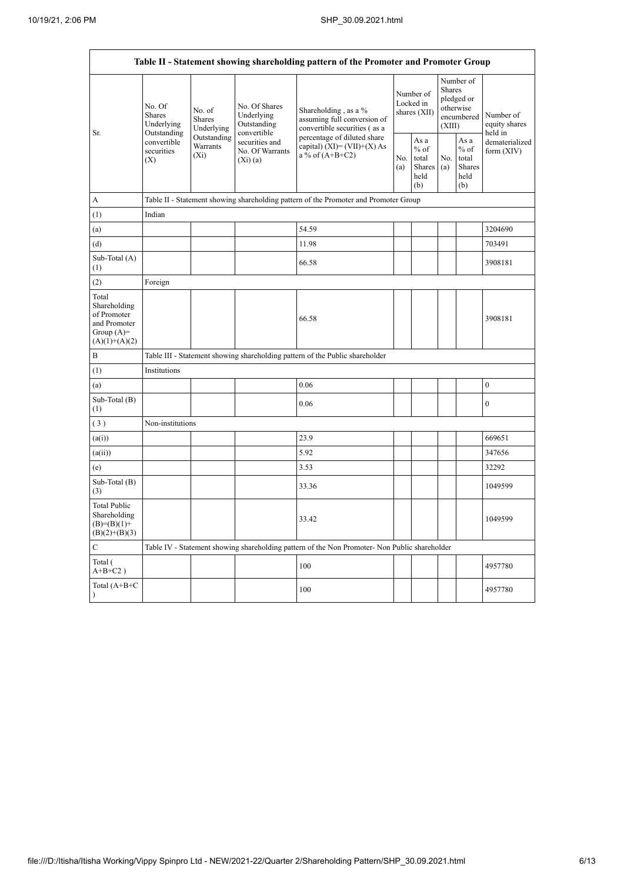$\mathsf{r}$ 

h

| Table II - Statement showing shareholding pattern of the Promoter and Promoter Group    |                                                                                       |                                |                                                           |                                                                                               |                                        |                                                  |                                                                               |                                                  |                                       |  |  |
|-----------------------------------------------------------------------------------------|---------------------------------------------------------------------------------------|--------------------------------|-----------------------------------------------------------|-----------------------------------------------------------------------------------------------|----------------------------------------|--------------------------------------------------|-------------------------------------------------------------------------------|--------------------------------------------------|---------------------------------------|--|--|
|                                                                                         | No. Of<br>Shares<br>Underlying                                                        | No. of<br>Shares<br>Underlying | No. Of Shares<br>Underlying<br>Outstanding<br>convertible | Shareholding, as a %<br>assuming full conversion of<br>convertible securities (as a           | Number of<br>Locked in<br>shares (XII) |                                                  | Number of<br><b>Shares</b><br>pledged or<br>otherwise<br>encumbered<br>(XIII) |                                                  | Number of<br>equity shares<br>held in |  |  |
| Sr.                                                                                     | Outstanding<br>Outstanding<br>convertible<br>Warrants<br>securities<br>$(X_i)$<br>(X) |                                | securities and<br>No. Of Warrants<br>$(X_i)$ (a)          | percentage of diluted share<br>capital) $(XI) = (VII)+(X) As$<br>a % of $(A+B+C2)$            | No.<br>(a)                             | As a<br>$%$ of<br>total<br>Shares<br>held<br>(b) | No.<br>(a)                                                                    | As a<br>$%$ of<br>total<br>Shares<br>held<br>(b) | dematerialized<br>form $(XIV)$        |  |  |
| А                                                                                       |                                                                                       |                                |                                                           | Table II - Statement showing shareholding pattern of the Promoter and Promoter Group          |                                        |                                                  |                                                                               |                                                  |                                       |  |  |
| (1)                                                                                     | Indian                                                                                |                                |                                                           |                                                                                               |                                        |                                                  |                                                                               |                                                  |                                       |  |  |
| (a)                                                                                     |                                                                                       |                                |                                                           | 54.59                                                                                         |                                        |                                                  |                                                                               |                                                  | 3204690                               |  |  |
| (d)                                                                                     |                                                                                       |                                |                                                           | 11.98                                                                                         |                                        |                                                  |                                                                               |                                                  | 703491                                |  |  |
| Sub-Total (A)<br>(1)                                                                    |                                                                                       |                                |                                                           | 66.58                                                                                         |                                        |                                                  |                                                                               |                                                  | 3908181                               |  |  |
| (2)                                                                                     | Foreign                                                                               |                                |                                                           |                                                                                               |                                        |                                                  |                                                                               |                                                  |                                       |  |  |
| Total<br>Shareholding<br>of Promoter<br>and Promoter<br>Group $(A)=$<br>$(A)(1)+(A)(2)$ |                                                                                       |                                |                                                           | 66.58                                                                                         |                                        |                                                  |                                                                               |                                                  | 3908181                               |  |  |
| $\, {\bf B}$                                                                            |                                                                                       |                                |                                                           | Table III - Statement showing shareholding pattern of the Public shareholder                  |                                        |                                                  |                                                                               |                                                  |                                       |  |  |
| (1)                                                                                     | Institutions                                                                          |                                |                                                           |                                                                                               |                                        |                                                  |                                                                               |                                                  |                                       |  |  |
| (a)                                                                                     |                                                                                       |                                |                                                           | 0.06                                                                                          |                                        |                                                  |                                                                               |                                                  | $\boldsymbol{0}$                      |  |  |
| Sub-Total (B)<br>(1)                                                                    |                                                                                       |                                |                                                           | 0.06                                                                                          |                                        |                                                  |                                                                               |                                                  | $\boldsymbol{0}$                      |  |  |
| (3)                                                                                     | Non-institutions                                                                      |                                |                                                           |                                                                                               |                                        |                                                  |                                                                               |                                                  |                                       |  |  |
| (a(i))                                                                                  |                                                                                       |                                |                                                           | 23.9                                                                                          |                                        |                                                  |                                                                               |                                                  | 669651                                |  |  |
| (a(ii))                                                                                 |                                                                                       |                                |                                                           | 5.92                                                                                          |                                        |                                                  |                                                                               |                                                  | 347656                                |  |  |
| (e)                                                                                     |                                                                                       |                                |                                                           | 3.53                                                                                          |                                        |                                                  |                                                                               |                                                  | 32292                                 |  |  |
| Sub-Total (B)<br>(3)                                                                    |                                                                                       |                                |                                                           | 33.36                                                                                         |                                        |                                                  |                                                                               |                                                  | 1049599                               |  |  |
| <b>Total Public</b><br>Shareholding<br>$(B)=(B)(1)+$<br>$(B)(2)+(B)(3)$                 |                                                                                       |                                |                                                           | 33.42                                                                                         |                                        |                                                  |                                                                               |                                                  | 1049599                               |  |  |
| $\mathsf{C}$                                                                            |                                                                                       |                                |                                                           | Table IV - Statement showing shareholding pattern of the Non Promoter- Non Public shareholder |                                        |                                                  |                                                                               |                                                  |                                       |  |  |
| Total (<br>$A+B+C2$ )                                                                   |                                                                                       |                                |                                                           | 100                                                                                           |                                        |                                                  |                                                                               |                                                  | 4957780                               |  |  |
| Total (A+B+C<br>$\lambda$                                                               |                                                                                       |                                |                                                           | 100                                                                                           |                                        |                                                  |                                                                               |                                                  | 4957780                               |  |  |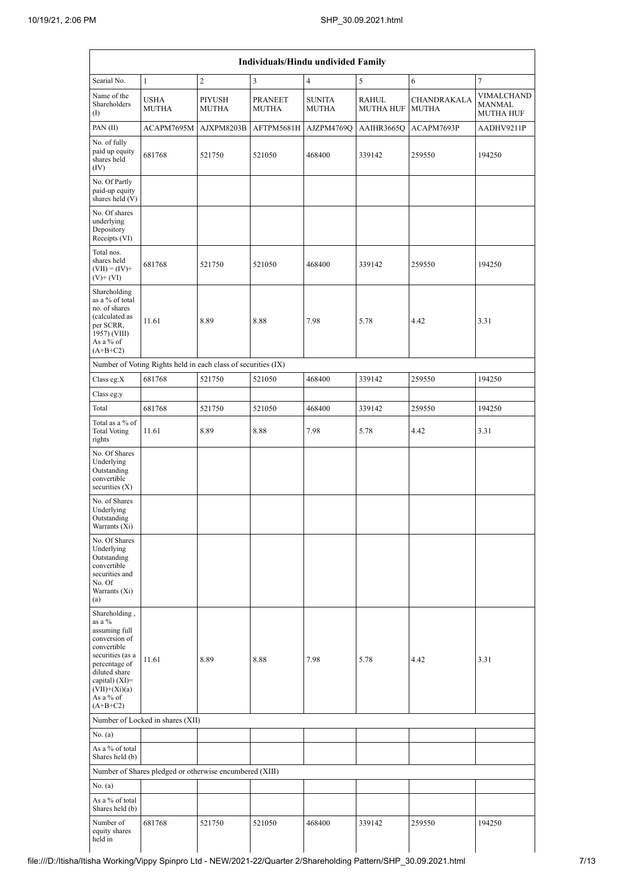|                                                                                                                                                                                                  |                                                               |                        | Individuals/Hindu undivided Family |                               |                           |                                    |                                          |
|--------------------------------------------------------------------------------------------------------------------------------------------------------------------------------------------------|---------------------------------------------------------------|------------------------|------------------------------------|-------------------------------|---------------------------|------------------------------------|------------------------------------------|
| Searial No.                                                                                                                                                                                      | $\mathbf{1}$                                                  | $\overline{c}$         | $\mathfrak{Z}$                     | $\overline{4}$                | 5                         | 6                                  | $\tau$                                   |
| Name of the<br>Shareholders<br>$\left( \mathrm{I}\right)$                                                                                                                                        | <b>USHA</b><br><b>MUTHA</b>                                   | <b>PIYUSH</b><br>MUTHA | <b>PRANEET</b><br><b>MUTHA</b>     | <b>SUNITA</b><br><b>MUTHA</b> | RAHUL<br><b>MUTHA HUF</b> | <b>CHANDRAKALA</b><br><b>MUTHA</b> | VIMALCHAND<br><b>MANMAL</b><br>MUTHA HUF |
| PAN $(II)$                                                                                                                                                                                       | ACAPM7695M                                                    | AJXPM8203B             | AFTPM5681H                         | AJZPM4769Q                    | AAIHR3665Q                | ACAPM7693P                         | AADHV9211P                               |
| No. of fully<br>paid up equity<br>shares held<br>(IV)                                                                                                                                            | 681768                                                        | 521750                 | 521050                             | 468400                        | 339142                    | 259550                             | 194250                                   |
| No. Of Partly<br>paid-up equity<br>shares held (V)                                                                                                                                               |                                                               |                        |                                    |                               |                           |                                    |                                          |
| No. Of shares<br>underlying<br>Depository<br>Receipts (VI)                                                                                                                                       |                                                               |                        |                                    |                               |                           |                                    |                                          |
| Total nos.<br>shares held<br>$(VII) = (IV) +$<br>$(V)$ + $(VI)$                                                                                                                                  | 681768                                                        | 521750                 | 521050                             | 468400                        | 339142                    | 259550                             | 194250                                   |
| Shareholding<br>as a % of total<br>no. of shares<br>(calculated as<br>per SCRR,<br>1957) (VIII)<br>As a % of<br>$(A+B+C2)$                                                                       | 11.61                                                         | 8.89                   | 8.88                               | 7.98                          | 5.78                      | 4.42                               | 3.31                                     |
|                                                                                                                                                                                                  | Number of Voting Rights held in each class of securities (IX) |                        |                                    |                               |                           |                                    |                                          |
| Class eg:X                                                                                                                                                                                       | 681768                                                        | 521750                 | 521050                             | 468400                        | 339142                    | 259550                             | 194250                                   |
| Class eg:y                                                                                                                                                                                       |                                                               |                        |                                    |                               |                           |                                    |                                          |
| Total                                                                                                                                                                                            | 681768                                                        | 521750                 | 521050                             | 468400                        | 339142                    | 259550                             | 194250                                   |
| Total as a % of<br><b>Total Voting</b><br>rights                                                                                                                                                 | 11.61                                                         | 8.89                   | 8.88                               | 7.98                          | 5.78                      | 4.42                               | 3.31                                     |
| No. Of Shares<br>Underlying<br>Outstanding<br>convertible<br>securities $(X)$                                                                                                                    |                                                               |                        |                                    |                               |                           |                                    |                                          |
| No. of Shares<br>Underlying<br>Outstanding<br>Warrants (Xi)                                                                                                                                      |                                                               |                        |                                    |                               |                           |                                    |                                          |
| No. Of Shares<br>Underlying<br>Outstanding<br>convertible<br>securities and<br>No. Of<br>Warrants (Xi)<br>(a)                                                                                    |                                                               |                        |                                    |                               |                           |                                    |                                          |
| Shareholding,<br>as a %<br>assuming full<br>conversion of<br>convertible<br>securities (as a<br>percentage of<br>diluted share<br>capital) $(XI)=$<br>$(VII)+(Xi)(a)$<br>As a % of<br>$(A+B+C2)$ | 11.61                                                         | 8.89                   | 8.88                               | 7.98                          | 5.78                      | 4.42                               | 3.31                                     |
|                                                                                                                                                                                                  | Number of Locked in shares (XII)                              |                        |                                    |                               |                           |                                    |                                          |
| No. (a)                                                                                                                                                                                          |                                                               |                        |                                    |                               |                           |                                    |                                          |
| As a % of total<br>Shares held (b)                                                                                                                                                               |                                                               |                        |                                    |                               |                           |                                    |                                          |
|                                                                                                                                                                                                  | Number of Shares pledged or otherwise encumbered (XIII)       |                        |                                    |                               |                           |                                    |                                          |
| No. (a)                                                                                                                                                                                          |                                                               |                        |                                    |                               |                           |                                    |                                          |
| As a % of total<br>Shares held (b)                                                                                                                                                               |                                                               |                        |                                    |                               |                           |                                    |                                          |
| Number of<br>equity shares<br>held in                                                                                                                                                            | 681768                                                        | 521750                 | 521050                             | 468400                        | 339142                    | 259550                             | 194250                                   |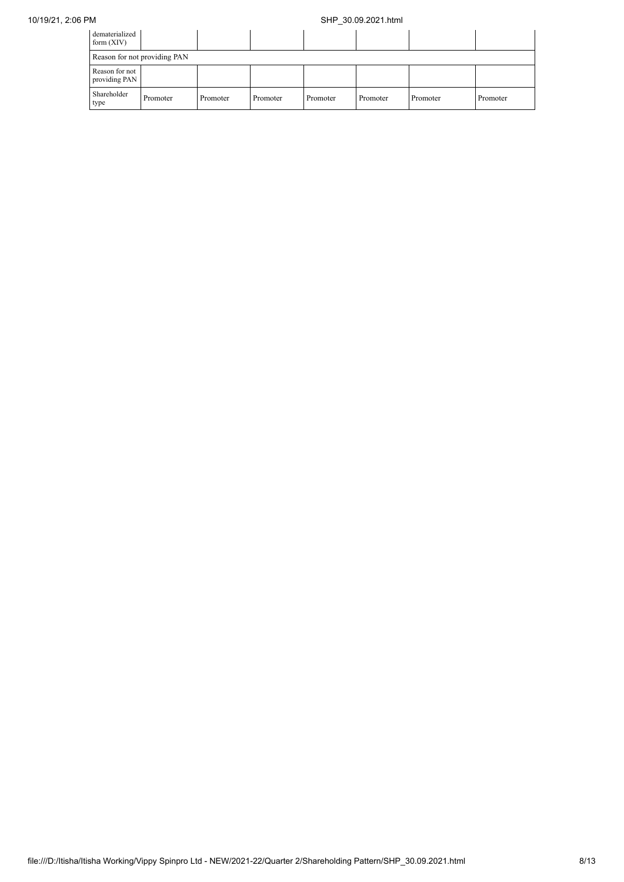| dematerialized<br>form $(XIV)$  |                              |          |          |          |          |          |          |  |
|---------------------------------|------------------------------|----------|----------|----------|----------|----------|----------|--|
|                                 | Reason for not providing PAN |          |          |          |          |          |          |  |
| Reason for not<br>providing PAN |                              |          |          |          |          |          |          |  |
| Shareholder<br>type             | Promoter                     | Promoter | Promoter | Promoter | Promoter | Promoter | Promoter |  |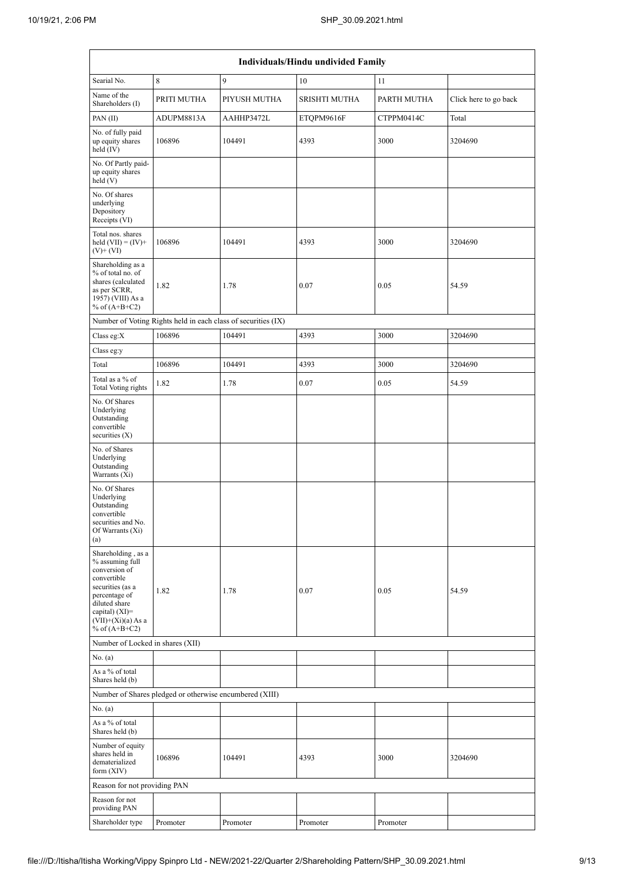|                                                                                                                                                                                            |                                                               |              | Individuals/Hindu undivided Family |             |                       |
|--------------------------------------------------------------------------------------------------------------------------------------------------------------------------------------------|---------------------------------------------------------------|--------------|------------------------------------|-------------|-----------------------|
| Searial No.                                                                                                                                                                                | 8                                                             | 9            | 10                                 | 11          |                       |
| Name of the<br>Shareholders (I)                                                                                                                                                            | PRITI MUTHA                                                   | PIYUSH MUTHA | <b>SRISHTI MUTHA</b>               | PARTH MUTHA | Click here to go back |
| PAN $(II)$                                                                                                                                                                                 | ADUPM8813A                                                    | AAHHP3472L   | ETQPM9616F                         | CTPPM0414C  | Total                 |
| No. of fully paid<br>up equity shares<br>held $(IV)$                                                                                                                                       | 106896                                                        | 104491       | 4393                               | 3000        | 3204690               |
| No. Of Partly paid-<br>up equity shares<br>held $(V)$                                                                                                                                      |                                                               |              |                                    |             |                       |
| No. Of shares<br>underlying<br>Depository<br>Receipts (VI)                                                                                                                                 |                                                               |              |                                    |             |                       |
| Total nos. shares<br>held $(VII) = (IV) +$<br>$(V) + (VI)$                                                                                                                                 | 106896                                                        | 104491       | 4393                               | 3000        | 3204690               |
| Shareholding as a<br>% of total no. of<br>shares (calculated<br>as per SCRR,<br>1957) (VIII) As a<br>% of $(A+B+C2)$                                                                       | 1.82                                                          | 1.78         | 0.07                               | 0.05        | 54.59                 |
|                                                                                                                                                                                            | Number of Voting Rights held in each class of securities (IX) |              |                                    |             |                       |
| Class eg: $X$                                                                                                                                                                              | 106896                                                        | 104491       | 4393                               | 3000        | 3204690               |
| Class eg:y                                                                                                                                                                                 |                                                               |              |                                    |             |                       |
| Total                                                                                                                                                                                      | 106896                                                        | 104491       | 4393                               | 3000        | 3204690               |
| Total as a % of<br>Total Voting rights                                                                                                                                                     | 1.82                                                          | 1.78         | 0.07                               | 0.05        | 54.59                 |
| No. Of Shares<br>Underlying<br>Outstanding<br>convertible<br>securities $(X)$                                                                                                              |                                                               |              |                                    |             |                       |
| No. of Shares<br>Underlying<br>Outstanding<br>Warrants (Xi)                                                                                                                                |                                                               |              |                                    |             |                       |
| No. Of Shares<br>Underlying<br>Outstanding<br>convertible<br>securities and No.<br>Of Warrants (Xi)<br>(a)                                                                                 |                                                               |              |                                    |             |                       |
| Shareholding, as a<br>% assuming full<br>conversion of<br>convertible<br>securities (as a<br>percentage of<br>diluted share<br>capital) $(XI)=$<br>$(VII)+(Xi)(a) As a$<br>% of $(A+B+C2)$ | 1.82                                                          | 1.78         | 0.07                               | 0.05        | 54.59                 |
| Number of Locked in shares (XII)                                                                                                                                                           |                                                               |              |                                    |             |                       |
| No. (a)                                                                                                                                                                                    |                                                               |              |                                    |             |                       |
| As a % of total<br>Shares held (b)                                                                                                                                                         |                                                               |              |                                    |             |                       |
|                                                                                                                                                                                            | Number of Shares pledged or otherwise encumbered (XIII)       |              |                                    |             |                       |
| No. (a)                                                                                                                                                                                    |                                                               |              |                                    |             |                       |
| As a % of total<br>Shares held (b)                                                                                                                                                         |                                                               |              |                                    |             |                       |
| Number of equity<br>shares held in<br>dematerialized<br>form $(XIV)$                                                                                                                       | 106896                                                        | 104491       | 4393                               | 3000        | 3204690               |
| Reason for not providing PAN                                                                                                                                                               |                                                               |              |                                    |             |                       |
| Reason for not<br>providing PAN                                                                                                                                                            |                                                               |              |                                    |             |                       |
| Shareholder type                                                                                                                                                                           | Promoter                                                      | Promoter     | Promoter                           | Promoter    |                       |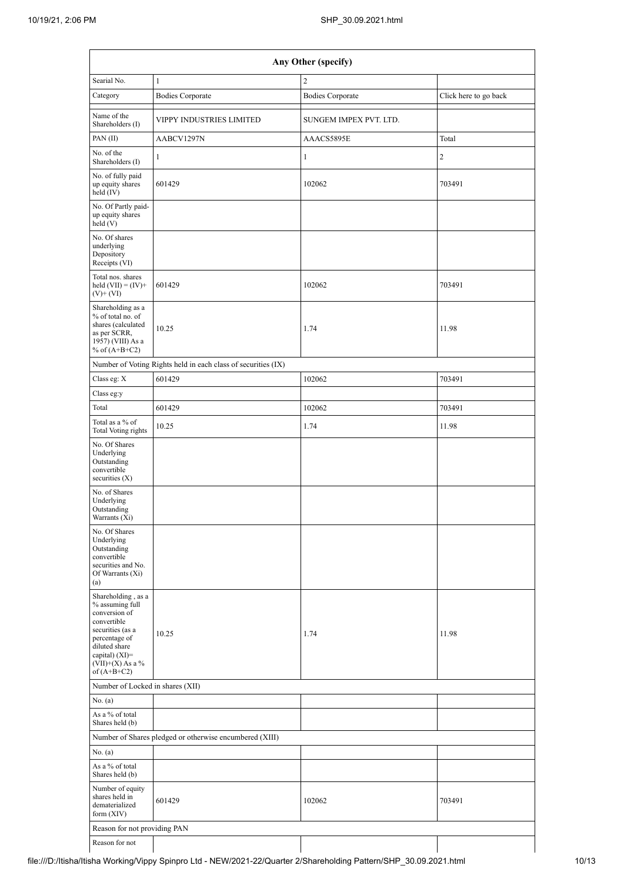|                                                                                                                                                                                        | Any Other (specify)                                           |                         |                       |  |  |  |  |  |  |  |
|----------------------------------------------------------------------------------------------------------------------------------------------------------------------------------------|---------------------------------------------------------------|-------------------------|-----------------------|--|--|--|--|--|--|--|
| Searial No.                                                                                                                                                                            | $\mathbf{1}$                                                  | $\overline{c}$          |                       |  |  |  |  |  |  |  |
| Category                                                                                                                                                                               | <b>Bodies Corporate</b>                                       | <b>Bodies Corporate</b> | Click here to go back |  |  |  |  |  |  |  |
| Name of the<br>Shareholders (I)                                                                                                                                                        | VIPPY INDUSTRIES LIMITED                                      | SUNGEM IMPEX PVT. LTD.  |                       |  |  |  |  |  |  |  |
| PAN $(II)$                                                                                                                                                                             | AABCV1297N                                                    | AAACS5895E              | Total                 |  |  |  |  |  |  |  |
| No. of the<br>Shareholders (I)                                                                                                                                                         | $\mathbf{1}$                                                  | 1                       | 2                     |  |  |  |  |  |  |  |
| No. of fully paid<br>up equity shares<br>held (IV)                                                                                                                                     | 601429                                                        | 102062                  | 703491                |  |  |  |  |  |  |  |
| No. Of Partly paid-<br>up equity shares<br>held(V)                                                                                                                                     |                                                               |                         |                       |  |  |  |  |  |  |  |
| No. Of shares<br>underlying<br>Depository<br>Receipts (VI)                                                                                                                             |                                                               |                         |                       |  |  |  |  |  |  |  |
| Total nos. shares<br>held $(VII) = (IV) +$<br>$(V)$ + $(VI)$                                                                                                                           | 601429                                                        | 102062                  | 703491                |  |  |  |  |  |  |  |
| Shareholding as a<br>% of total no. of<br>shares (calculated<br>as per SCRR,<br>1957) (VIII) As a<br>% of $(A+B+C2)$                                                                   | 10.25                                                         | 1.74                    | 11.98                 |  |  |  |  |  |  |  |
|                                                                                                                                                                                        | Number of Voting Rights held in each class of securities (IX) |                         |                       |  |  |  |  |  |  |  |
| Class eg: X                                                                                                                                                                            | 601429                                                        | 102062                  | 703491                |  |  |  |  |  |  |  |
| Class eg:y                                                                                                                                                                             |                                                               |                         |                       |  |  |  |  |  |  |  |
| Total                                                                                                                                                                                  | 601429                                                        | 102062                  | 703491                |  |  |  |  |  |  |  |
| Total as a % of<br><b>Total Voting rights</b>                                                                                                                                          | 10.25                                                         | 1.74                    | 11.98                 |  |  |  |  |  |  |  |
| No. Of Shares<br>Underlying<br>Outstanding<br>convertible<br>securities $(X)$                                                                                                          |                                                               |                         |                       |  |  |  |  |  |  |  |
| No. of Shares<br>Underlying<br>Outstanding<br>Warrants (Xi)                                                                                                                            |                                                               |                         |                       |  |  |  |  |  |  |  |
| No. Of Shares<br>Underlying<br>Outstanding<br>convertible<br>securities and No.<br>Of Warrants (Xi)<br>(a)                                                                             |                                                               |                         |                       |  |  |  |  |  |  |  |
| Shareholding, as a<br>% assuming full<br>conversion of<br>convertible<br>securities (as a<br>percentage of<br>diluted share<br>capital) $(XI)=$<br>$(VII)+(X)$ As a %<br>of $(A+B+C2)$ | 10.25                                                         | 1.74                    | 11.98                 |  |  |  |  |  |  |  |
| Number of Locked in shares (XII)                                                                                                                                                       |                                                               |                         |                       |  |  |  |  |  |  |  |
| No. (a)                                                                                                                                                                                |                                                               |                         |                       |  |  |  |  |  |  |  |
| As a % of total<br>Shares held (b)                                                                                                                                                     |                                                               |                         |                       |  |  |  |  |  |  |  |
|                                                                                                                                                                                        | Number of Shares pledged or otherwise encumbered (XIII)       |                         |                       |  |  |  |  |  |  |  |
| No. (a)                                                                                                                                                                                |                                                               |                         |                       |  |  |  |  |  |  |  |
| As a % of total<br>Shares held (b)                                                                                                                                                     |                                                               |                         |                       |  |  |  |  |  |  |  |
| Number of equity<br>shares held in<br>dematerialized<br>form $(XIV)$                                                                                                                   | 601429                                                        | 102062                  | 703491                |  |  |  |  |  |  |  |
| Reason for not providing PAN                                                                                                                                                           |                                                               |                         |                       |  |  |  |  |  |  |  |
| Reason for not                                                                                                                                                                         |                                                               |                         |                       |  |  |  |  |  |  |  |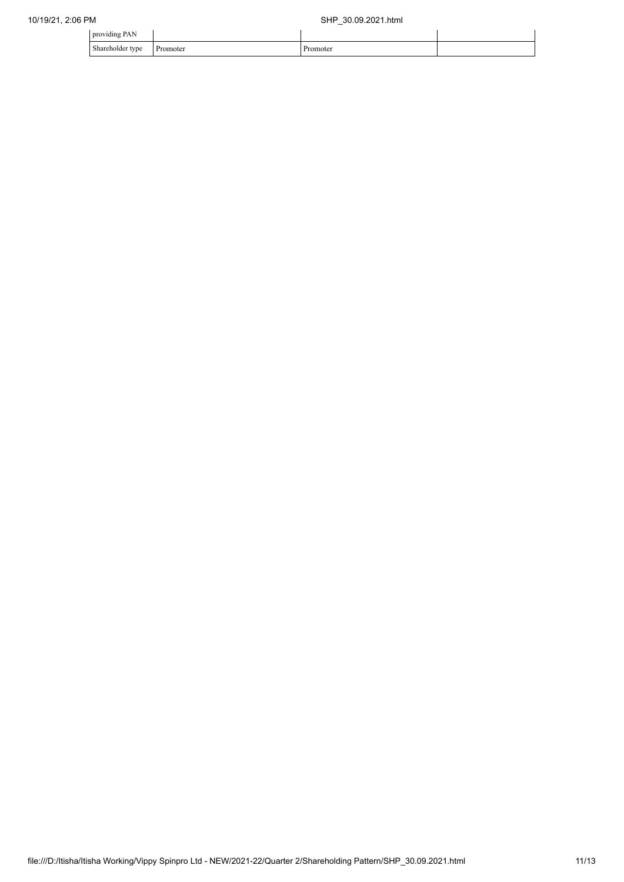| oviding<br>nı<br>171)<br>. ມ.<br>.<br>c                   |            |  |
|-----------------------------------------------------------|------------|--|
| $\sim$<br>Shareholde<br>T <sub>T</sub><br>,,,<br>$\sim$ 1 | omote:<br> |  |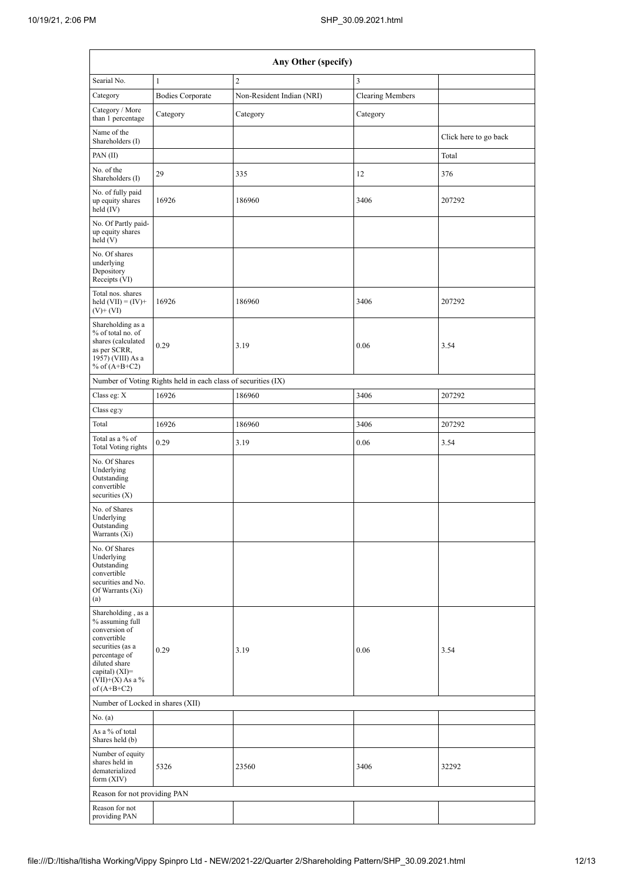|                                                                                                                                                                                        |                                                               | Any Other (specify)       |                         |                       |
|----------------------------------------------------------------------------------------------------------------------------------------------------------------------------------------|---------------------------------------------------------------|---------------------------|-------------------------|-----------------------|
| Searial No.                                                                                                                                                                            | $\mathbf{1}$                                                  | $\overline{c}$            | 3                       |                       |
| Category                                                                                                                                                                               | <b>Bodies Corporate</b>                                       | Non-Resident Indian (NRI) | <b>Clearing Members</b> |                       |
| Category / More<br>than 1 percentage                                                                                                                                                   | Category                                                      | Category                  | Category                |                       |
| Name of the<br>Shareholders (I)                                                                                                                                                        |                                                               |                           |                         | Click here to go back |
| PAN(II)                                                                                                                                                                                |                                                               |                           |                         | Total                 |
| No. of the<br>Shareholders (I)                                                                                                                                                         | 29                                                            | 335                       | 12                      | 376                   |
| No. of fully paid<br>up equity shares<br>held (IV)                                                                                                                                     | 16926                                                         | 186960                    | 3406                    | 207292                |
| No. Of Partly paid-<br>up equity shares<br>held(V)                                                                                                                                     |                                                               |                           |                         |                       |
| No. Of shares<br>underlying<br>Depository<br>Receipts (VI)                                                                                                                             |                                                               |                           |                         |                       |
| Total nos. shares<br>held $(VII) = (IV) +$<br>$(V)$ + $(VI)$                                                                                                                           | 16926                                                         | 186960                    | 3406                    | 207292                |
| Shareholding as a<br>% of total no. of<br>shares (calculated<br>as per SCRR,<br>1957) (VIII) As a<br>% of $(A+B+C2)$                                                                   | 0.29                                                          | 3.19                      | 0.06                    | 3.54                  |
|                                                                                                                                                                                        | Number of Voting Rights held in each class of securities (IX) |                           |                         |                       |
| Class eg: X                                                                                                                                                                            | 16926                                                         | 186960                    | 3406                    | 207292                |
| Class eg:y                                                                                                                                                                             |                                                               |                           |                         |                       |
| Total                                                                                                                                                                                  | 16926                                                         | 186960                    | 3406                    | 207292                |
| Total as a % of<br>Total Voting rights                                                                                                                                                 | 0.29                                                          | 3.19                      | 0.06                    | 3.54                  |
| No. Of Shares<br>Underlying<br>Outstanding<br>convertible<br>securities $(X)$                                                                                                          |                                                               |                           |                         |                       |
| No. of Shares<br>Underlying<br>Outstanding<br>Warrants (Xi)                                                                                                                            |                                                               |                           |                         |                       |
| No. Of Shares<br>Underlying<br>Outstanding<br>convertible<br>securities and No.<br>Of Warrants (Xi)<br>(a)                                                                             |                                                               |                           |                         |                       |
| Shareholding, as a<br>% assuming full<br>conversion of<br>convertible<br>securities (as a<br>percentage of<br>diluted share<br>capital) $(XI)=$<br>$(VII)+(X)$ As a %<br>of $(A+B+C2)$ | 0.29                                                          | 3.19                      | 0.06                    | 3.54                  |
| Number of Locked in shares (XII)                                                                                                                                                       |                                                               |                           |                         |                       |
| No. (a)                                                                                                                                                                                |                                                               |                           |                         |                       |
| As a % of total<br>Shares held (b)                                                                                                                                                     |                                                               |                           |                         |                       |
| Number of equity<br>shares held in<br>dematerialized<br>form $(XIV)$                                                                                                                   | 5326                                                          | 23560                     | 3406                    | 32292                 |
| Reason for not providing PAN                                                                                                                                                           |                                                               |                           |                         |                       |
| Reason for not<br>providing PAN                                                                                                                                                        |                                                               |                           |                         |                       |